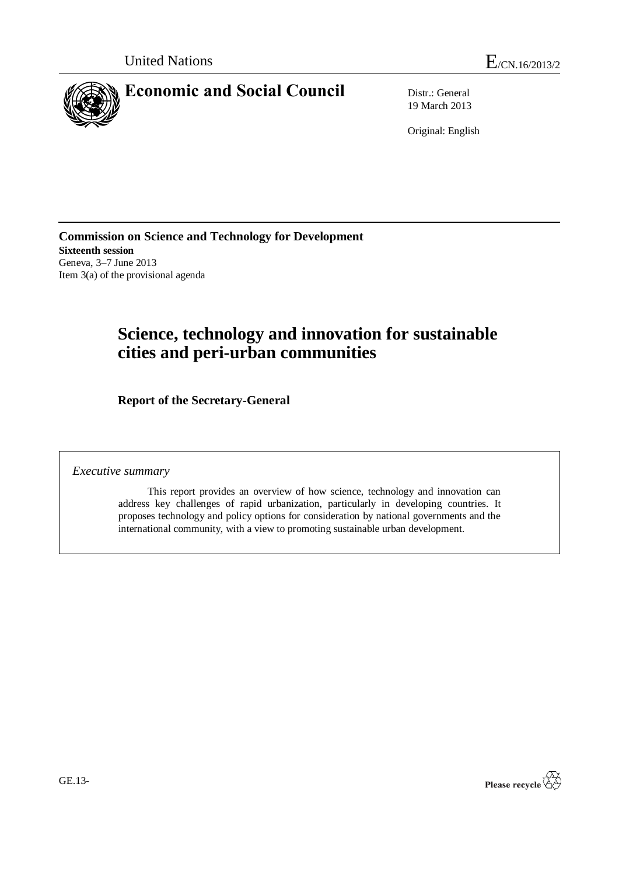

19 March 2013

Original: English

**Commission on Science and Technology for Development Sixteenth session** Geneva, 3–7 June 2013 Item 3(a) of the provisional agenda

# **Science, technology and innovation for sustainable cities and peri-urban communities**

**Report of the Secretary-General**

*Executive summary*

This report provides an overview of how science, technology and innovation can address key challenges of rapid urbanization, particularly in developing countries. It proposes technology and policy options for consideration by national governments and the international community, with a view to promoting sustainable urban development.

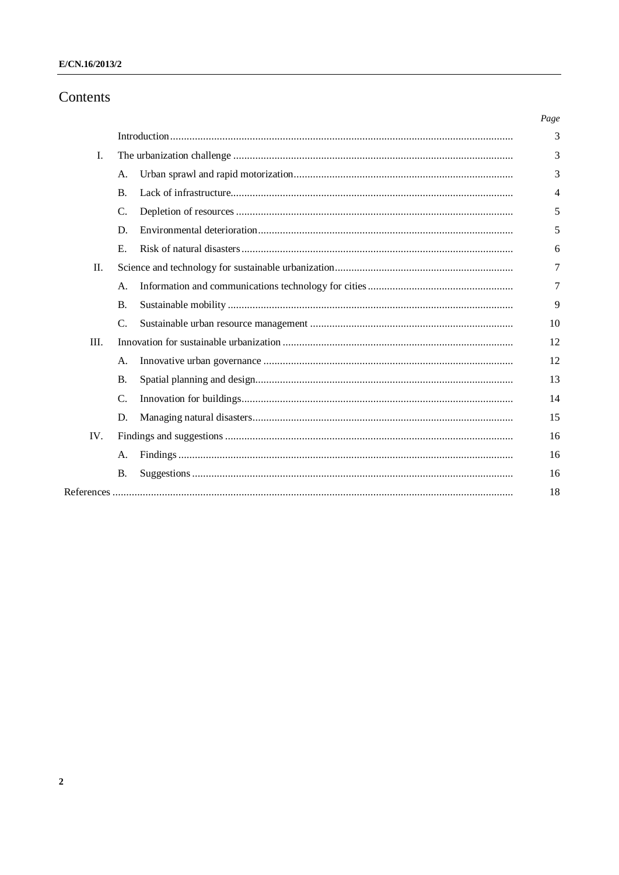# Contents

|      |                 |  | Page |
|------|-----------------|--|------|
|      |                 |  | 3    |
| I.   |                 |  | 3    |
|      | A.              |  | 3    |
|      | $\mathbf{B}$ .  |  | 4    |
|      | $\mathcal{C}$ . |  | 5    |
|      | D.              |  | 5    |
|      | Ε.              |  | 6    |
| П.   |                 |  | 7    |
|      | A.              |  | 7    |
|      | <b>B.</b>       |  | 9    |
|      | $\mathcal{C}$ . |  | 10   |
| III. |                 |  | 12   |
|      | A.              |  | 12   |
|      | <b>B.</b>       |  | 13   |
|      | $\mathcal{C}$ . |  | 14   |
|      | D.              |  | 15   |
| IV.  |                 |  | 16   |
|      | A.              |  | 16   |
|      | <b>B.</b>       |  | 16   |
|      |                 |  | 18   |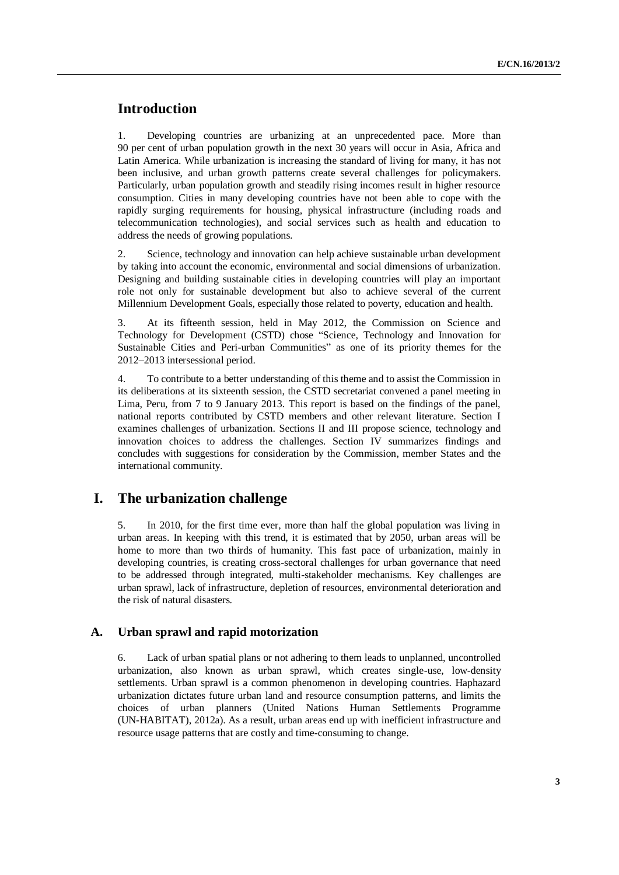# **Introduction**

1. Developing countries are urbanizing at an unprecedented pace. More than 90 per cent of urban population growth in the next 30 years will occur in Asia, Africa and Latin America. While urbanization is increasing the standard of living for many, it has not been inclusive, and urban growth patterns create several challenges for policymakers. Particularly, urban population growth and steadily rising incomes result in higher resource consumption. Cities in many developing countries have not been able to cope with the rapidly surging requirements for housing, physical infrastructure (including roads and telecommunication technologies), and social services such as health and education to address the needs of growing populations.

2. Science, technology and innovation can help achieve sustainable urban development by taking into account the economic, environmental and social dimensions of urbanization. Designing and building sustainable cities in developing countries will play an important role not only for sustainable development but also to achieve several of the current Millennium Development Goals, especially those related to poverty, education and health.

3. At its fifteenth session, held in May 2012, the Commission on Science and Technology for Development (CSTD) chose "Science, Technology and Innovation for Sustainable Cities and Peri-urban Communities" as one of its priority themes for the 2012–2013 intersessional period.

4. To contribute to a better understanding of this theme and to assist the Commission in its deliberations at its sixteenth session, the CSTD secretariat convened a panel meeting in Lima, Peru, from 7 to 9 January 2013. This report is based on the findings of the panel, national reports contributed by CSTD members and other relevant literature. Section I examines challenges of urbanization. Sections II and III propose science, technology and innovation choices to address the challenges. Section IV summarizes findings and concludes with suggestions for consideration by the Commission, member States and the international community.

# **I. The urbanization challenge**

5. In 2010, for the first time ever, more than half the global population was living in urban areas. In keeping with this trend, it is estimated that by 2050, urban areas will be home to more than two thirds of humanity. This fast pace of urbanization, mainly in developing countries, is creating cross-sectoral challenges for urban governance that need to be addressed through integrated, multi-stakeholder mechanisms. Key challenges are urban sprawl, lack of infrastructure, depletion of resources, environmental deterioration and the risk of natural disasters.

# **A. Urban sprawl and rapid motorization**

6. Lack of urban spatial plans or not adhering to them leads to unplanned, uncontrolled urbanization, also known as urban sprawl, which creates single-use, low-density settlements. Urban sprawl is a common phenomenon in developing countries. Haphazard urbanization dictates future urban land and resource consumption patterns, and limits the choices of urban planners (United Nations Human Settlements Programme (UN-HABITAT), 2012a). As a result, urban areas end up with inefficient infrastructure and resource usage patterns that are costly and time-consuming to change.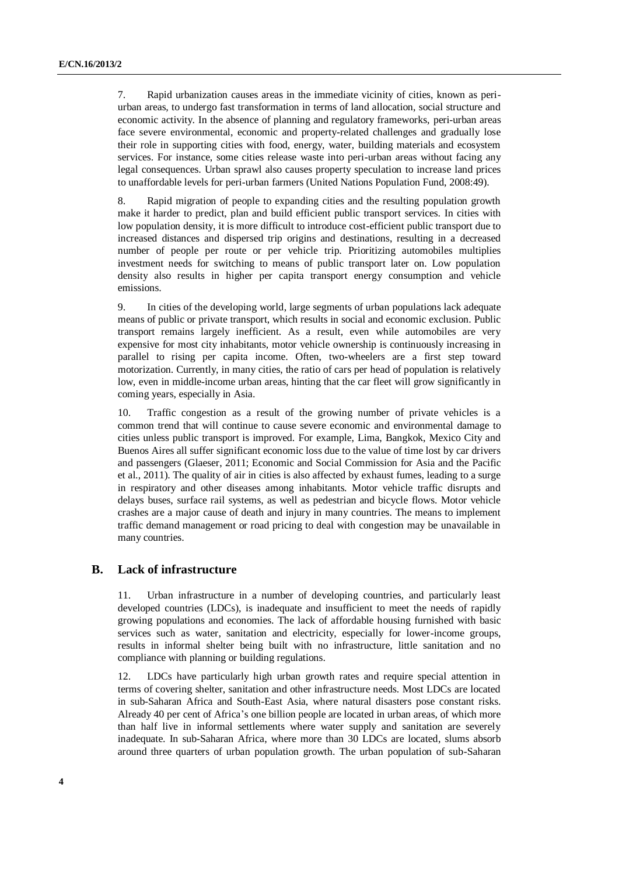7. Rapid urbanization causes areas in the immediate vicinity of cities, known as periurban areas, to undergo fast transformation in terms of land allocation, social structure and economic activity. In the absence of planning and regulatory frameworks, peri-urban areas face severe environmental, economic and property-related challenges and gradually lose their role in supporting cities with food, energy, water, building materials and ecosystem services. For instance, some cities release waste into peri-urban areas without facing any legal consequences. Urban sprawl also causes property speculation to increase land prices to unaffordable levels for peri-urban farmers (United Nations Population Fund, 2008:49).

8. Rapid migration of people to expanding cities and the resulting population growth make it harder to predict, plan and build efficient public transport services. In cities with low population density, it is more difficult to introduce cost-efficient public transport due to increased distances and dispersed trip origins and destinations, resulting in a decreased number of people per route or per vehicle trip. Prioritizing automobiles multiplies investment needs for switching to means of public transport later on. Low population density also results in higher per capita transport energy consumption and vehicle emissions.

9. In cities of the developing world, large segments of urban populations lack adequate means of public or private transport, which results in social and economic exclusion. Public transport remains largely inefficient. As a result, even while automobiles are very expensive for most city inhabitants, motor vehicle ownership is continuously increasing in parallel to rising per capita income. Often, two-wheelers are a first step toward motorization. Currently, in many cities, the ratio of cars per head of population is relatively low, even in middle-income urban areas, hinting that the car fleet will grow significantly in coming years, especially in Asia.

10. Traffic congestion as a result of the growing number of private vehicles is a common trend that will continue to cause severe economic and environmental damage to cities unless public transport is improved. For example, Lima, Bangkok, Mexico City and Buenos Aires all suffer significant economic loss due to the value of time lost by car drivers and passengers (Glaeser, 2011; Economic and Social Commission for Asia and the Pacific et al., 2011). The quality of air in cities is also affected by exhaust fumes, leading to a surge in respiratory and other diseases among inhabitants. Motor vehicle traffic disrupts and delays buses, surface rail systems, as well as pedestrian and bicycle flows. Motor vehicle crashes are a major cause of death and injury in many countries. The means to implement traffic demand management or road pricing to deal with congestion may be unavailable in many countries.

#### **B. Lack of infrastructure**

11. Urban infrastructure in a number of developing countries, and particularly least developed countries (LDCs), is inadequate and insufficient to meet the needs of rapidly growing populations and economies. The lack of affordable housing furnished with basic services such as water, sanitation and electricity, especially for lower-income groups, results in informal shelter being built with no infrastructure, little sanitation and no compliance with planning or building regulations.

12. LDCs have particularly high urban growth rates and require special attention in terms of covering shelter, sanitation and other infrastructure needs. Most LDCs are located in sub-Saharan Africa and South-East Asia, where natural disasters pose constant risks. Already 40 per cent of Africa's one billion people are located in urban areas, of which more than half live in informal settlements where water supply and sanitation are severely inadequate. In sub-Saharan Africa, where more than 30 LDCs are located, slums absorb around three quarters of urban population growth. The urban population of sub-Saharan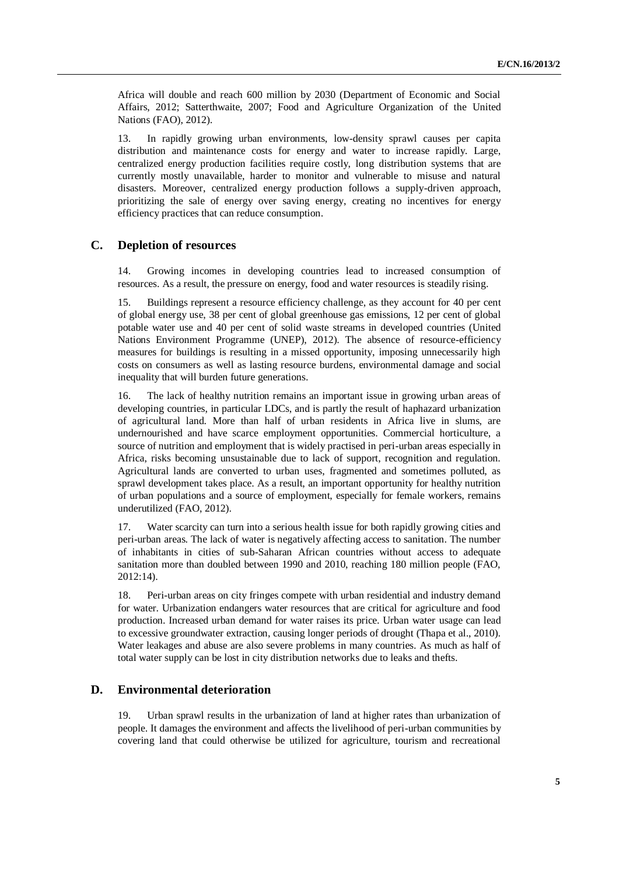Africa will double and reach 600 million by 2030 (Department of Economic and Social Affairs, 2012; Satterthwaite, 2007; Food and Agriculture Organization of the United Nations (FAO), 2012).

13. In rapidly growing urban environments, low-density sprawl causes per capita distribution and maintenance costs for energy and water to increase rapidly. Large, centralized energy production facilities require costly, long distribution systems that are currently mostly unavailable, harder to monitor and vulnerable to misuse and natural disasters. Moreover, centralized energy production follows a supply-driven approach, prioritizing the sale of energy over saving energy, creating no incentives for energy efficiency practices that can reduce consumption.

# **C. Depletion of resources**

14. Growing incomes in developing countries lead to increased consumption of resources. As a result, the pressure on energy, food and water resources is steadily rising.

15. Buildings represent a resource efficiency challenge, as they account for 40 per cent of global energy use, 38 per cent of global greenhouse gas emissions, 12 per cent of global potable water use and 40 per cent of solid waste streams in developed countries (United Nations Environment Programme (UNEP), 2012). The absence of resource-efficiency measures for buildings is resulting in a missed opportunity, imposing unnecessarily high costs on consumers as well as lasting resource burdens, environmental damage and social inequality that will burden future generations.

16. The lack of healthy nutrition remains an important issue in growing urban areas of developing countries, in particular LDCs, and is partly the result of haphazard urbanization of agricultural land. More than half of urban residents in Africa live in slums, are undernourished and have scarce employment opportunities. Commercial horticulture, a source of nutrition and employment that is widely practised in peri-urban areas especially in Africa, risks becoming unsustainable due to lack of support, recognition and regulation. Agricultural lands are converted to urban uses, fragmented and sometimes polluted, as sprawl development takes place. As a result, an important opportunity for healthy nutrition of urban populations and a source of employment, especially for female workers, remains underutilized (FAO, 2012).

17. Water scarcity can turn into a serious health issue for both rapidly growing cities and peri-urban areas. The lack of water is negatively affecting access to sanitation. The number of inhabitants in cities of sub-Saharan African countries without access to adequate sanitation more than doubled between 1990 and 2010, reaching 180 million people (FAO, 2012:14).

18. Peri-urban areas on city fringes compete with urban residential and industry demand for water. Urbanization endangers water resources that are critical for agriculture and food production. Increased urban demand for water raises its price. Urban water usage can lead to excessive groundwater extraction, causing longer periods of drought (Thapa et al., 2010). Water leakages and abuse are also severe problems in many countries. As much as half of total water supply can be lost in city distribution networks due to leaks and thefts.

# **D. Environmental deterioration**

19. Urban sprawl results in the urbanization of land at higher rates than urbanization of people. It damages the environment and affects the livelihood of peri-urban communities by covering land that could otherwise be utilized for agriculture, tourism and recreational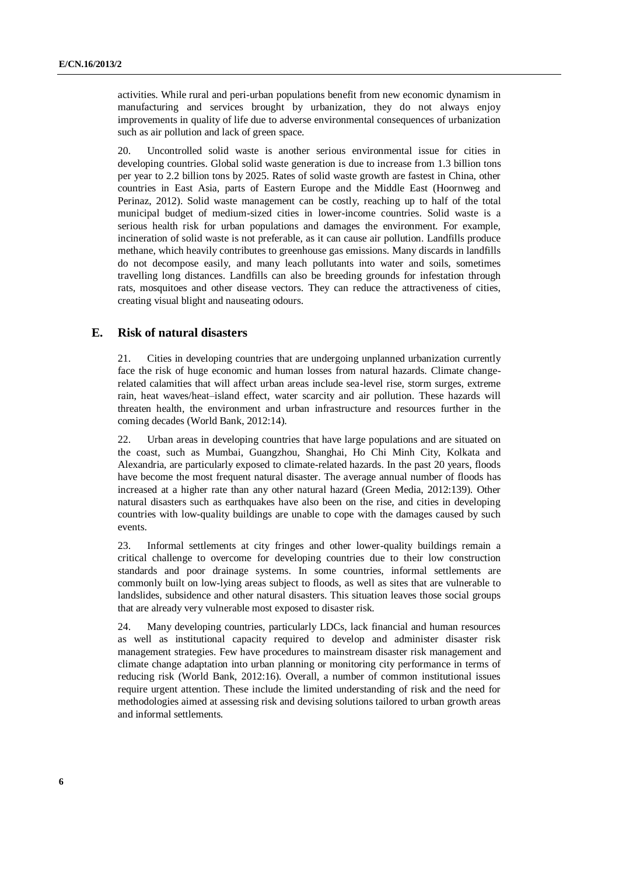activities. While rural and peri-urban populations benefit from new economic dynamism in manufacturing and services brought by urbanization, they do not always enjoy improvements in quality of life due to adverse environmental consequences of urbanization such as air pollution and lack of green space.

20. Uncontrolled solid waste is another serious environmental issue for cities in developing countries. Global solid waste generation is due to increase from 1.3 billion tons per year to 2.2 billion tons by 2025. Rates of solid waste growth are fastest in China, other countries in East Asia, parts of Eastern Europe and the Middle East (Hoornweg and Perinaz, 2012). Solid waste management can be costly, reaching up to half of the total municipal budget of medium-sized cities in lower-income countries. Solid waste is a serious health risk for urban populations and damages the environment. For example, incineration of solid waste is not preferable, as it can cause air pollution. Landfills produce methane, which heavily contributes to greenhouse gas emissions. Many discards in landfills do not decompose easily, and many leach pollutants into water and soils, sometimes travelling long distances. Landfills can also be breeding grounds for infestation through rats, mosquitoes and other disease vectors. They can reduce the attractiveness of cities, creating visual blight and nauseating odours.

# **E. Risk of natural disasters**

21. Cities in developing countries that are undergoing unplanned urbanization currently face the risk of huge economic and human losses from natural hazards. Climate changerelated calamities that will affect urban areas include sea-level rise, storm surges, extreme rain, heat waves/heat–island effect, water scarcity and air pollution. These hazards will threaten health, the environment and urban infrastructure and resources further in the coming decades (World Bank, 2012:14).

22. Urban areas in developing countries that have large populations and are situated on the coast, such as Mumbai, Guangzhou, Shanghai, Ho Chi Minh City, Kolkata and Alexandria, are particularly exposed to climate-related hazards. In the past 20 years, floods have become the most frequent natural disaster. The average annual number of floods has increased at a higher rate than any other natural hazard (Green Media, 2012:139). Other natural disasters such as earthquakes have also been on the rise, and cities in developing countries with low-quality buildings are unable to cope with the damages caused by such events.

23. Informal settlements at city fringes and other lower-quality buildings remain a critical challenge to overcome for developing countries due to their low construction standards and poor drainage systems. In some countries, informal settlements are commonly built on low-lying areas subject to floods, as well as sites that are vulnerable to landslides, subsidence and other natural disasters. This situation leaves those social groups that are already very vulnerable most exposed to disaster risk.

24. Many developing countries, particularly LDCs, lack financial and human resources as well as institutional capacity required to develop and administer disaster risk management strategies. Few have procedures to mainstream disaster risk management and climate change adaptation into urban planning or monitoring city performance in terms of reducing risk (World Bank, 2012:16). Overall, a number of common institutional issues require urgent attention. These include the limited understanding of risk and the need for methodologies aimed at assessing risk and devising solutions tailored to urban growth areas and informal settlements.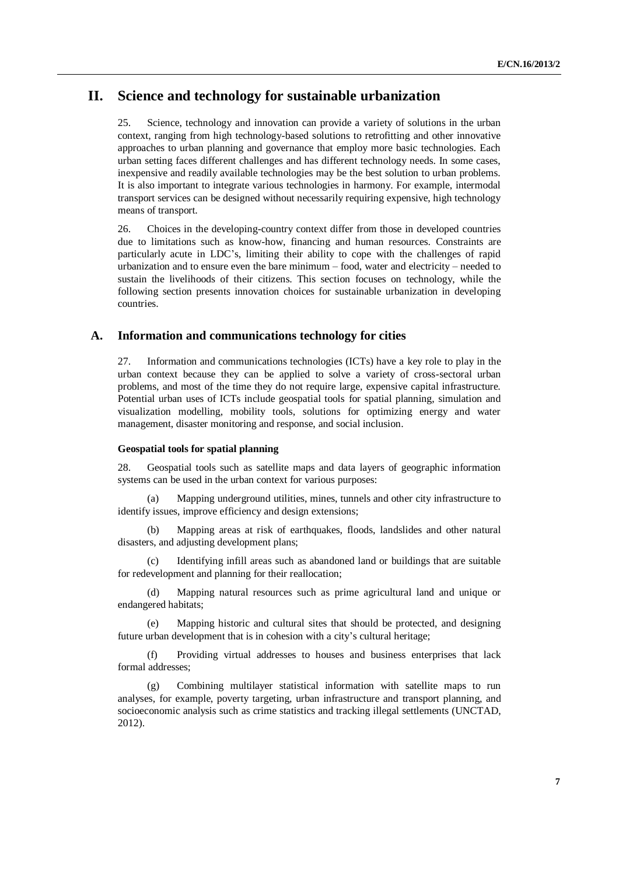# **II. Science and technology for sustainable urbanization**

25. Science, technology and innovation can provide a variety of solutions in the urban context, ranging from high technology-based solutions to retrofitting and other innovative approaches to urban planning and governance that employ more basic technologies. Each urban setting faces different challenges and has different technology needs. In some cases, inexpensive and readily available technologies may be the best solution to urban problems. It is also important to integrate various technologies in harmony. For example, intermodal transport services can be designed without necessarily requiring expensive, high technology means of transport.

26. Choices in the developing-country context differ from those in developed countries due to limitations such as know-how, financing and human resources. Constraints are particularly acute in LDC's, limiting their ability to cope with the challenges of rapid urbanization and to ensure even the bare minimum – food, water and electricity – needed to sustain the livelihoods of their citizens. This section focuses on technology, while the following section presents innovation choices for sustainable urbanization in developing countries.

### **A. Information and communications technology for cities**

27. Information and communications technologies (ICTs) have a key role to play in the urban context because they can be applied to solve a variety of cross-sectoral urban problems, and most of the time they do not require large, expensive capital infrastructure. Potential urban uses of ICTs include geospatial tools for spatial planning, simulation and visualization modelling, mobility tools, solutions for optimizing energy and water management, disaster monitoring and response, and social inclusion.

#### **Geospatial tools for spatial planning**

28. Geospatial tools such as satellite maps and data layers of geographic information systems can be used in the urban context for various purposes:

(a) Mapping underground utilities, mines, tunnels and other city infrastructure to identify issues, improve efficiency and design extensions;

Mapping areas at risk of earthquakes, floods, landslides and other natural disasters, and adjusting development plans;

(c) Identifying infill areas such as abandoned land or buildings that are suitable for redevelopment and planning for their reallocation;

(d) Mapping natural resources such as prime agricultural land and unique or endangered habitats;

Mapping historic and cultural sites that should be protected, and designing future urban development that is in cohesion with a city's cultural heritage;

(f) Providing virtual addresses to houses and business enterprises that lack formal addresses;

(g) Combining multilayer statistical information with satellite maps to run analyses, for example, poverty targeting, urban infrastructure and transport planning, and socioeconomic analysis such as crime statistics and tracking illegal settlements (UNCTAD, 2012).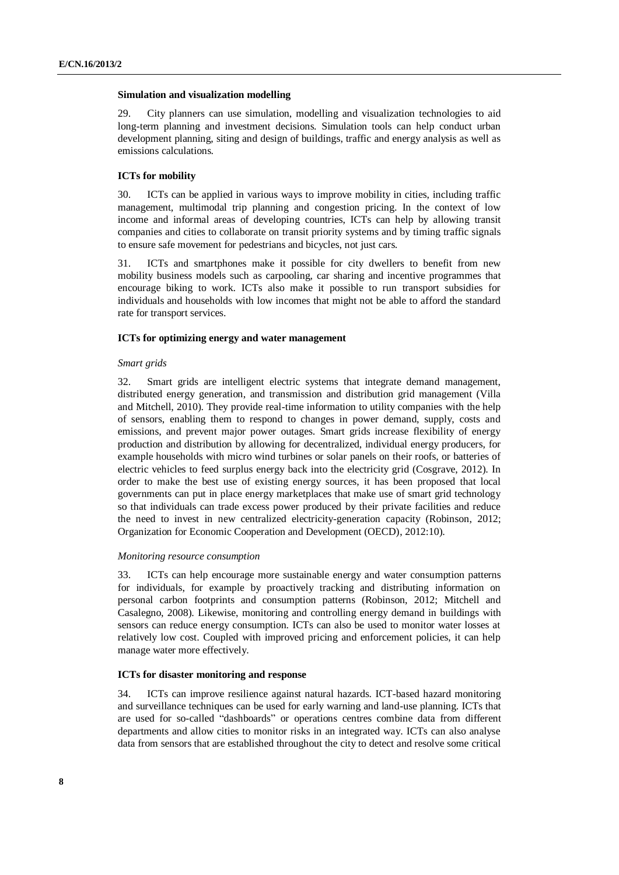#### **Simulation and visualization modelling**

29. City planners can use simulation, modelling and visualization technologies to aid long-term planning and investment decisions. Simulation tools can help conduct urban development planning, siting and design of buildings, traffic and energy analysis as well as emissions calculations.

#### **ICTs for mobility**

30. ICTs can be applied in various ways to improve mobility in cities, including traffic management, multimodal trip planning and congestion pricing. In the context of low income and informal areas of developing countries, ICTs can help by allowing transit companies and cities to collaborate on transit priority systems and by timing traffic signals to ensure safe movement for pedestrians and bicycles, not just cars.

31. ICTs and smartphones make it possible for city dwellers to benefit from new mobility business models such as carpooling, car sharing and incentive programmes that encourage biking to work. ICTs also make it possible to run transport subsidies for individuals and households with low incomes that might not be able to afford the standard rate for transport services.

#### **ICTs for optimizing energy and water management**

#### *Smart grids*

32. Smart grids are intelligent electric systems that integrate demand management, distributed energy generation, and transmission and distribution grid management (Villa and Mitchell, 2010). They provide real-time information to utility companies with the help of sensors, enabling them to respond to changes in power demand, supply, costs and emissions, and prevent major power outages. Smart grids increase flexibility of energy production and distribution by allowing for decentralized, individual energy producers, for example households with micro wind turbines or solar panels on their roofs, or batteries of electric vehicles to feed surplus energy back into the electricity grid (Cosgrave, 2012). In order to make the best use of existing energy sources, it has been proposed that local governments can put in place energy marketplaces that make use of smart grid technology so that individuals can trade excess power produced by their private facilities and reduce the need to invest in new centralized electricity-generation capacity (Robinson, 2012; Organization for Economic Cooperation and Development (OECD), 2012:10).

#### *Monitoring resource consumption*

33. ICTs can help encourage more sustainable energy and water consumption patterns for individuals, for example by proactively tracking and distributing information on personal carbon footprints and consumption patterns (Robinson, 2012; Mitchell and Casalegno, 2008). Likewise, monitoring and controlling energy demand in buildings with sensors can reduce energy consumption. ICTs can also be used to monitor water losses at relatively low cost. Coupled with improved pricing and enforcement policies, it can help manage water more effectively.

#### **ICTs for disaster monitoring and response**

34. ICTs can improve resilience against natural hazards. ICT-based hazard monitoring and surveillance techniques can be used for early warning and land-use planning. ICTs that are used for so-called "dashboards" or operations centres combine data from different departments and allow cities to monitor risks in an integrated way. ICTs can also analyse data from sensors that are established throughout the city to detect and resolve some critical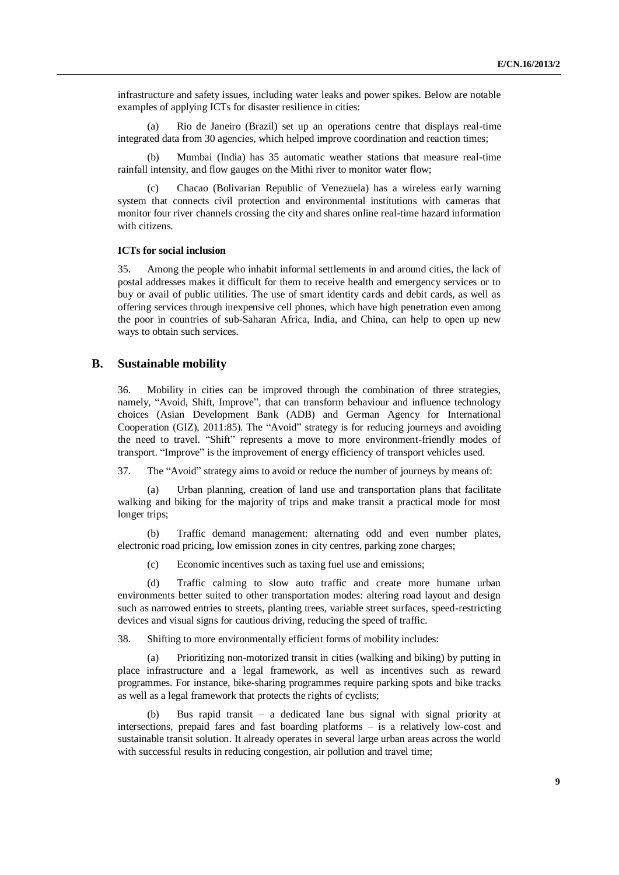infrastructure and safety issues, including water leaks and power spikes. Below are notable examples of applying ICTs for disaster resilience in cities:

(a) Rio de Janeiro (Brazil) set up an operations centre that displays real-time integrated data from 30 agencies, which helped improve coordination and reaction times;

(b) Mumbai (India) has 35 automatic weather stations that measure real-time rainfall intensity, and flow gauges on the Mithi river to monitor water flow;

(c) Chacao (Bolivarian Republic of Venezuela) has a wireless early warning system that connects civil protection and environmental institutions with cameras that monitor four river channels crossing the city and shares online real-time hazard information with citizens.

#### **ICTs for social inclusion**

35. Among the people who inhabit informal settlements in and around cities, the lack of postal addresses makes it difficult for them to receive health and emergency services or to buy or avail of public utilities. The use of smart identity cards and debit cards, as well as offering services through inexpensive cell phones, which have high penetration even among the poor in countries of sub-Saharan Africa, India, and China, can help to open up new ways to obtain such services.

### **B. Sustainable mobility**

36. Mobility in cities can be improved through the combination of three strategies, namely, "Avoid, Shift, Improve", that can transform behaviour and influence technology choices (Asian Development Bank (ADB) and German Agency for International Cooperation (GIZ), 2011:85). The "Avoid" strategy is for reducing journeys and avoiding the need to travel. "Shift" represents a move to more environment-friendly modes of transport. "Improve" is the improvement of energy efficiency of transport vehicles used.

37. The "Avoid" strategy aims to avoid or reduce the number of journeys by means of:

(a) Urban planning, creation of land use and transportation plans that facilitate walking and biking for the majority of trips and make transit a practical mode for most longer trips;

Traffic demand management: alternating odd and even number plates, electronic road pricing, low emission zones in city centres, parking zone charges;

(c) Economic incentives such as taxing fuel use and emissions;

(d) Traffic calming to slow auto traffic and create more humane urban environments better suited to other transportation modes: altering road layout and design such as narrowed entries to streets, planting trees, variable street surfaces, speed-restricting devices and visual signs for cautious driving, reducing the speed of traffic.

38. Shifting to more environmentally efficient forms of mobility includes:

(a) Prioritizing non-motorized transit in cities (walking and biking) by putting in place infrastructure and a legal framework, as well as incentives such as reward programmes. For instance, bike-sharing programmes require parking spots and bike tracks as well as a legal framework that protects the rights of cyclists;

Bus rapid transit – a dedicated lane bus signal with signal priority at intersections, prepaid fares and fast boarding platforms – is a relatively low-cost and sustainable transit solution. It already operates in several large urban areas across the world with successful results in reducing congestion, air pollution and travel time;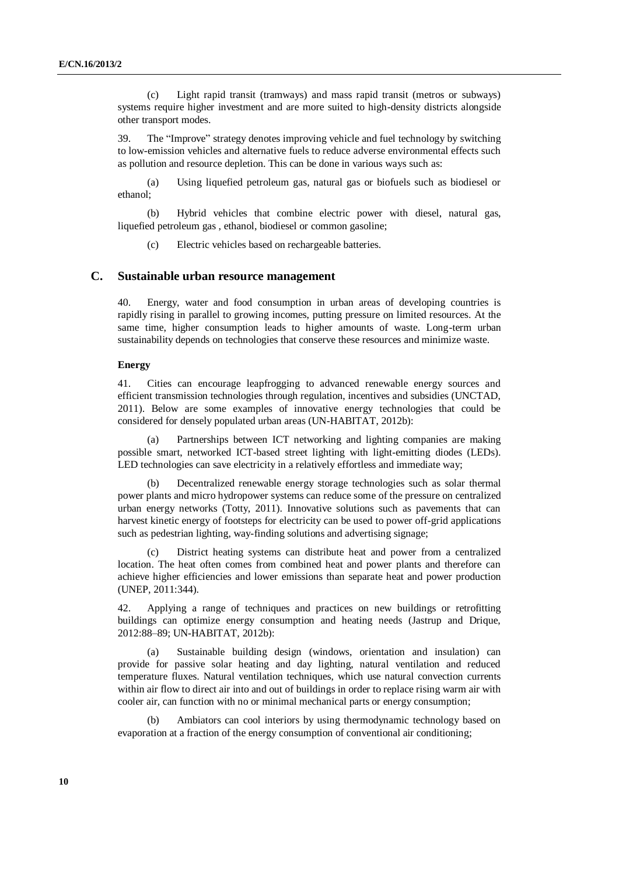(c) Light rapid transit (tramways) and mass rapid transit (metros or subways) systems require higher investment and are more suited to high-density districts alongside other transport modes.

39. The "Improve" strategy denotes improving vehicle and fuel technology by switching to low-emission vehicles and alternative fuels to reduce adverse environmental effects such as pollution and resource depletion. This can be done in various ways such as:

(a) Using liquefied petroleum gas, natural gas or biofuels such as biodiesel or ethanol;

(b) Hybrid vehicles that combine electric power with diesel, natural gas, liquefied petroleum gas , ethanol, biodiesel or common gasoline;

(c) Electric vehicles based on rechargeable batteries.

### **C. Sustainable urban resource management**

40. Energy, water and food consumption in urban areas of developing countries is rapidly rising in parallel to growing incomes, putting pressure on limited resources. At the same time, higher consumption leads to higher amounts of waste. Long-term urban sustainability depends on technologies that conserve these resources and minimize waste.

#### **Energy**

41. Cities can encourage leapfrogging to advanced renewable energy sources and efficient transmission technologies through regulation, incentives and subsidies (UNCTAD, 2011). Below are some examples of innovative energy technologies that could be considered for densely populated urban areas (UN-HABITAT, 2012b):

Partnerships between ICT networking and lighting companies are making possible smart, networked ICT-based street lighting with light-emitting diodes (LEDs). LED technologies can save electricity in a relatively effortless and immediate way;

Decentralized renewable energy storage technologies such as solar thermal power plants and micro hydropower systems can reduce some of the pressure on centralized urban energy networks (Totty, 2011). Innovative solutions such as pavements that can harvest kinetic energy of footsteps for electricity can be used to power off-grid applications such as pedestrian lighting, way-finding solutions and advertising signage;

District heating systems can distribute heat and power from a centralized location. The heat often comes from combined heat and power plants and therefore can achieve higher efficiencies and lower emissions than separate heat and power production (UNEP, 2011:344).

42. Applying a range of techniques and practices on new buildings or retrofitting buildings can optimize energy consumption and heating needs (Jastrup and Drique, 2012:88–89; UN-HABITAT, 2012b):

(a) Sustainable building design (windows, orientation and insulation) can provide for passive solar heating and day lighting, natural ventilation and reduced temperature fluxes. Natural ventilation techniques, which use natural convection currents within air flow to direct air into and out of buildings in order to replace rising warm air with cooler air, can function with no or minimal mechanical parts or energy consumption;

Ambiators can cool interiors by using thermodynamic technology based on evaporation at a fraction of the energy consumption of conventional air conditioning;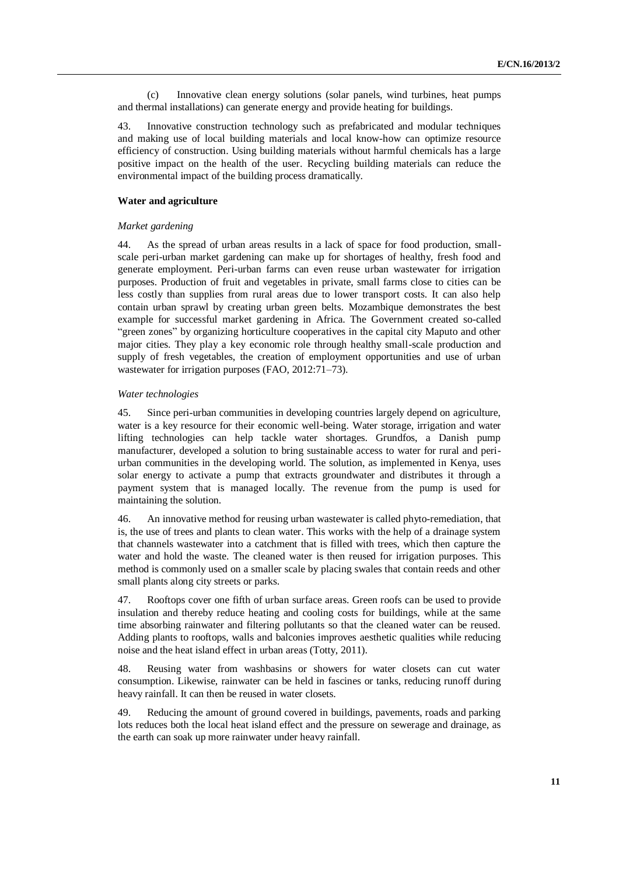(c) Innovative clean energy solutions (solar panels, wind turbines, heat pumps and thermal installations) can generate energy and provide heating for buildings.

43. Innovative construction technology such as prefabricated and modular techniques and making use of local building materials and local know-how can optimize resource efficiency of construction. Using building materials without harmful chemicals has a large positive impact on the health of the user. Recycling building materials can reduce the environmental impact of the building process dramatically.

#### **Water and agriculture**

#### *Market gardening*

44. As the spread of urban areas results in a lack of space for food production, smallscale peri-urban market gardening can make up for shortages of healthy, fresh food and generate employment. Peri-urban farms can even reuse urban wastewater for irrigation purposes. Production of fruit and vegetables in private, small farms close to cities can be less costly than supplies from rural areas due to lower transport costs. It can also help contain urban sprawl by creating urban green belts. Mozambique demonstrates the best example for successful market gardening in Africa. The Government created so-called "green zones" by organizing horticulture cooperatives in the capital city Maputo and other major cities. They play a key economic role through healthy small-scale production and supply of fresh vegetables, the creation of employment opportunities and use of urban wastewater for irrigation purposes (FAO, 2012:71–73).

#### *Water technologies*

45. Since peri-urban communities in developing countries largely depend on agriculture, water is a key resource for their economic well-being. Water storage, irrigation and water lifting technologies can help tackle water shortages. Grundfos, a Danish pump manufacturer, developed a solution to bring sustainable access to water for rural and periurban communities in the developing world. The solution, as implemented in Kenya, uses solar energy to activate a pump that extracts groundwater and distributes it through a payment system that is managed locally. The revenue from the pump is used for maintaining the solution.

46. An innovative method for reusing urban wastewater is called phyto-remediation, that is, the use of trees and plants to clean water. This works with the help of a drainage system that channels wastewater into a catchment that is filled with trees, which then capture the water and hold the waste. The cleaned water is then reused for irrigation purposes. This method is commonly used on a smaller scale by placing swales that contain reeds and other small plants along city streets or parks.

47. Rooftops cover one fifth of urban surface areas. Green roofs can be used to provide insulation and thereby reduce heating and cooling costs for buildings, while at the same time absorbing rainwater and filtering pollutants so that the cleaned water can be reused. Adding plants to rooftops, walls and balconies improves aesthetic qualities while reducing noise and the heat island effect in urban areas (Totty, 2011).

48. Reusing water from washbasins or showers for water closets can cut water consumption. Likewise, rainwater can be held in fascines or tanks, reducing runoff during heavy rainfall. It can then be reused in water closets.

49. Reducing the amount of ground covered in buildings, pavements, roads and parking lots reduces both the local heat island effect and the pressure on sewerage and drainage, as the earth can soak up more rainwater under heavy rainfall.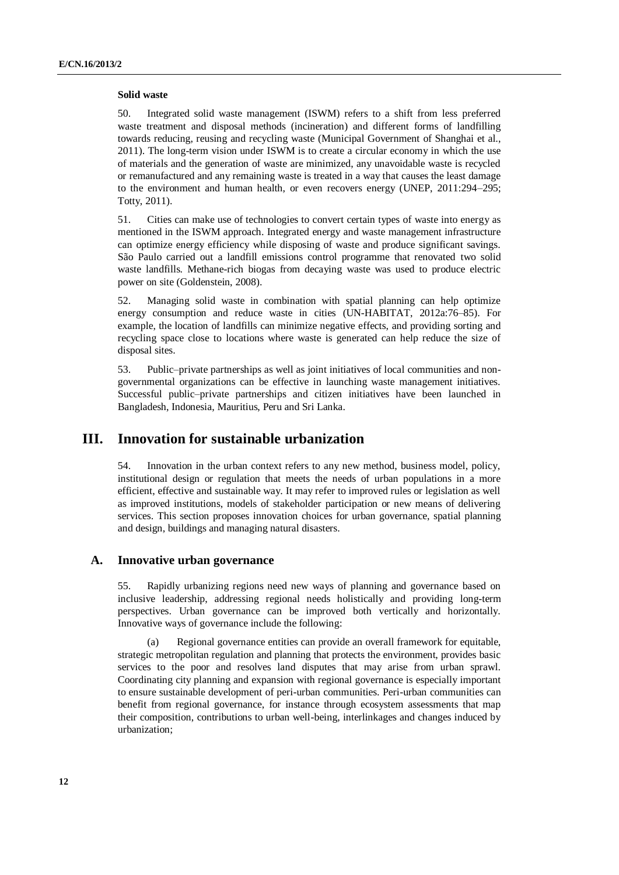#### **Solid waste**

50. Integrated solid waste management (ISWM) refers to a shift from less preferred waste treatment and disposal methods (incineration) and different forms of landfilling towards reducing, reusing and recycling waste (Municipal Government of Shanghai et al., 2011). The long-term vision under ISWM is to create a circular economy in which the use of materials and the generation of waste are minimized, any unavoidable waste is recycled or remanufactured and any remaining waste is treated in a way that causes the least damage to the environment and human health, or even recovers energy (UNEP, 2011:294–295; Totty, 2011).

51. Cities can make use of technologies to convert certain types of waste into energy as mentioned in the ISWM approach. Integrated energy and waste management infrastructure can optimize energy efficiency while disposing of waste and produce significant savings. São Paulo carried out a landfill emissions control programme that renovated two solid waste landfills. Methane-rich biogas from decaying waste was used to produce electric power on site (Goldenstein, 2008).

52. Managing solid waste in combination with spatial planning can help optimize energy consumption and reduce waste in cities (UN-HABITAT, 2012a:76–85). For example, the location of landfills can minimize negative effects, and providing sorting and recycling space close to locations where waste is generated can help reduce the size of disposal sites.

53. Public–private partnerships as well as joint initiatives of local communities and nongovernmental organizations can be effective in launching waste management initiatives. Successful public–private partnerships and citizen initiatives have been launched in Bangladesh, Indonesia, Mauritius, Peru and Sri Lanka.

# **III. Innovation for sustainable urbanization**

54. Innovation in the urban context refers to any new method, business model, policy, institutional design or regulation that meets the needs of urban populations in a more efficient, effective and sustainable way. It may refer to improved rules or legislation as well as improved institutions, models of stakeholder participation or new means of delivering services. This section proposes innovation choices for urban governance, spatial planning and design, buildings and managing natural disasters.

### **A. Innovative urban governance**

55. Rapidly urbanizing regions need new ways of planning and governance based on inclusive leadership, addressing regional needs holistically and providing long-term perspectives. Urban governance can be improved both vertically and horizontally. Innovative ways of governance include the following:

(a) Regional governance entities can provide an overall framework for equitable, strategic metropolitan regulation and planning that protects the environment, provides basic services to the poor and resolves land disputes that may arise from urban sprawl. Coordinating city planning and expansion with regional governance is especially important to ensure sustainable development of peri-urban communities. Peri-urban communities can benefit from regional governance, for instance through ecosystem assessments that map their composition, contributions to urban well-being, interlinkages and changes induced by urbanization;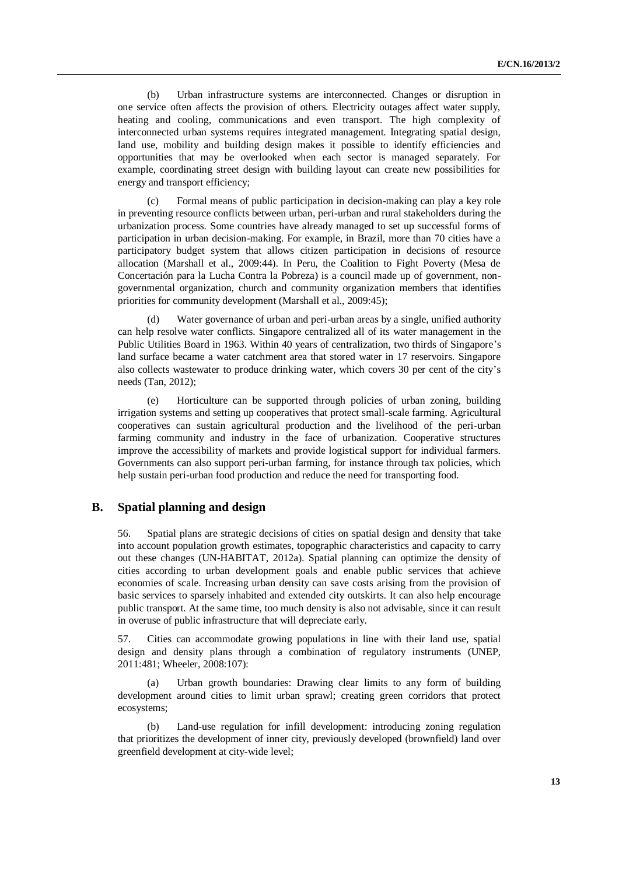(b) Urban infrastructure systems are interconnected. Changes or disruption in one service often affects the provision of others. Electricity outages affect water supply, heating and cooling, communications and even transport. The high complexity of interconnected urban systems requires integrated management. Integrating spatial design, land use, mobility and building design makes it possible to identify efficiencies and opportunities that may be overlooked when each sector is managed separately. For example, coordinating street design with building layout can create new possibilities for energy and transport efficiency;

(c) Formal means of public participation in decision-making can play a key role in preventing resource conflicts between urban, peri-urban and rural stakeholders during the urbanization process. Some countries have already managed to set up successful forms of participation in urban decision-making. For example, in Brazil, more than 70 cities have a participatory budget system that allows citizen participation in decisions of resource allocation (Marshall et al., 2009:44). In Peru, the Coalition to Fight Poverty (Mesa de Concertación para la Lucha Contra la Pobreza) is a council made up of government, nongovernmental organization, church and community organization members that identifies priorities for community development (Marshall et al., 2009:45);

(d) Water governance of urban and peri-urban areas by a single, unified authority can help resolve water conflicts. Singapore centralized all of its water management in the Public Utilities Board in 1963. Within 40 years of centralization, two thirds of Singapore's land surface became a water catchment area that stored water in 17 reservoirs. Singapore also collects wastewater to produce drinking water, which covers 30 per cent of the city's needs (Tan, 2012);

(e) Horticulture can be supported through policies of urban zoning, building irrigation systems and setting up cooperatives that protect small-scale farming. Agricultural cooperatives can sustain agricultural production and the livelihood of the peri-urban farming community and industry in the face of urbanization. Cooperative structures improve the accessibility of markets and provide logistical support for individual farmers. Governments can also support peri-urban farming, for instance through tax policies, which help sustain peri-urban food production and reduce the need for transporting food.

# **B. Spatial planning and design**

56. Spatial plans are strategic decisions of cities on spatial design and density that take into account population growth estimates, topographic characteristics and capacity to carry out these changes (UN-HABITAT, 2012a). Spatial planning can optimize the density of cities according to urban development goals and enable public services that achieve economies of scale. Increasing urban density can save costs arising from the provision of basic services to sparsely inhabited and extended city outskirts. It can also help encourage public transport. At the same time, too much density is also not advisable, since it can result in overuse of public infrastructure that will depreciate early.

57. Cities can accommodate growing populations in line with their land use, spatial design and density plans through a combination of regulatory instruments (UNEP, 2011:481; Wheeler, 2008:107):

(a) Urban growth boundaries: Drawing clear limits to any form of building development around cities to limit urban sprawl; creating green corridors that protect ecosystems;

(b) Land-use regulation for infill development: introducing zoning regulation that prioritizes the development of inner city, previously developed (brownfield) land over greenfield development at city-wide level;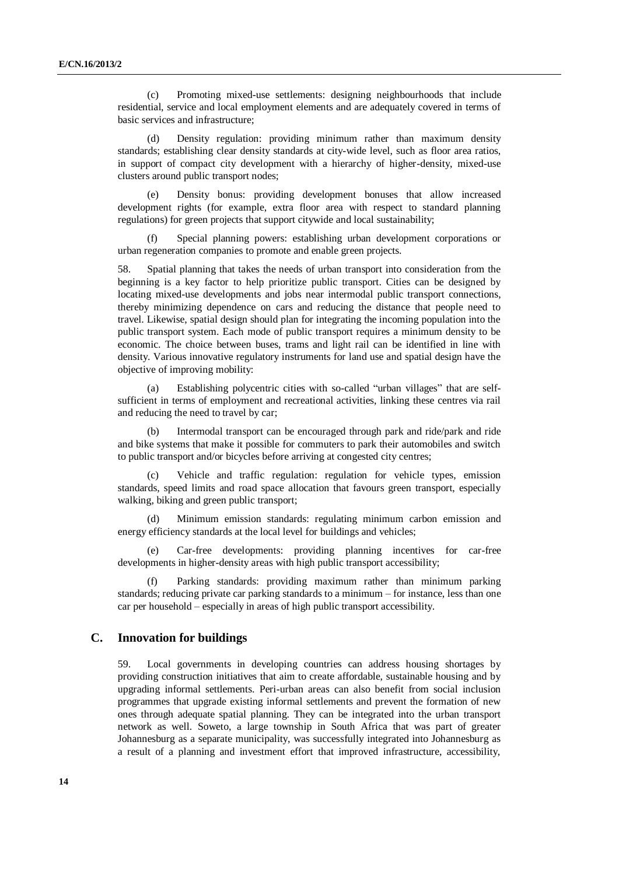(c) Promoting mixed-use settlements: designing neighbourhoods that include residential, service and local employment elements and are adequately covered in terms of basic services and infrastructure;

(d) Density regulation: providing minimum rather than maximum density standards; establishing clear density standards at city-wide level, such as floor area ratios, in support of compact city development with a hierarchy of higher-density, mixed-use clusters around public transport nodes;

(e) Density bonus: providing development bonuses that allow increased development rights (for example, extra floor area with respect to standard planning regulations) for green projects that support citywide and local sustainability;

(f) Special planning powers: establishing urban development corporations or urban regeneration companies to promote and enable green projects.

58. Spatial planning that takes the needs of urban transport into consideration from the beginning is a key factor to help prioritize public transport. Cities can be designed by locating mixed-use developments and jobs near intermodal public transport connections, thereby minimizing dependence on cars and reducing the distance that people need to travel. Likewise, spatial design should plan for integrating the incoming population into the public transport system. Each mode of public transport requires a minimum density to be economic. The choice between buses, trams and light rail can be identified in line with density. Various innovative regulatory instruments for land use and spatial design have the objective of improving mobility:

(a) Establishing polycentric cities with so-called "urban villages" that are selfsufficient in terms of employment and recreational activities, linking these centres via rail and reducing the need to travel by car;

(b) Intermodal transport can be encouraged through park and ride/park and ride and bike systems that make it possible for commuters to park their automobiles and switch to public transport and/or bicycles before arriving at congested city centres;

(c) Vehicle and traffic regulation: regulation for vehicle types, emission standards, speed limits and road space allocation that favours green transport, especially walking, biking and green public transport;

(d) Minimum emission standards: regulating minimum carbon emission and energy efficiency standards at the local level for buildings and vehicles;

Car-free developments: providing planning incentives for car-free developments in higher-density areas with high public transport accessibility;

(f) Parking standards: providing maximum rather than minimum parking standards; reducing private car parking standards to a minimum – for instance, less than one car per household – especially in areas of high public transport accessibility.

### **C. Innovation for buildings**

59. Local governments in developing countries can address housing shortages by providing construction initiatives that aim to create affordable, sustainable housing and by upgrading informal settlements. Peri-urban areas can also benefit from social inclusion programmes that upgrade existing informal settlements and prevent the formation of new ones through adequate spatial planning. They can be integrated into the urban transport network as well. Soweto, a large township in South Africa that was part of greater Johannesburg as a separate municipality, was successfully integrated into Johannesburg as a result of a planning and investment effort that improved infrastructure, accessibility,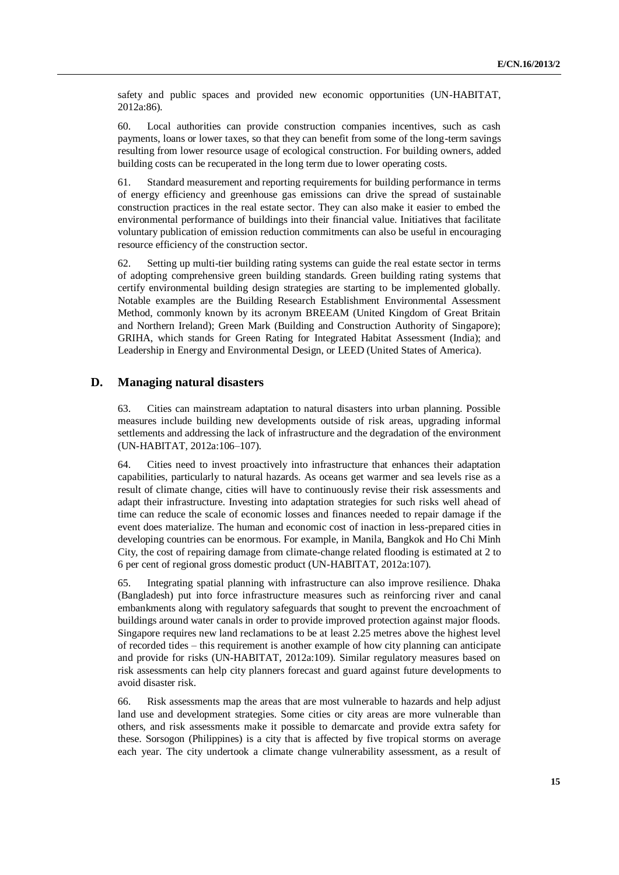safety and public spaces and provided new economic opportunities (UN-HABITAT, 2012a:86).

60. Local authorities can provide construction companies incentives, such as cash payments, loans or lower taxes, so that they can benefit from some of the long-term savings resulting from lower resource usage of ecological construction. For building owners, added building costs can be recuperated in the long term due to lower operating costs.

61. Standard measurement and reporting requirements for building performance in terms of energy efficiency and greenhouse gas emissions can drive the spread of sustainable construction practices in the real estate sector. They can also make it easier to embed the environmental performance of buildings into their financial value. Initiatives that facilitate voluntary publication of emission reduction commitments can also be useful in encouraging resource efficiency of the construction sector.

62. Setting up multi-tier building rating systems can guide the real estate sector in terms of adopting comprehensive green building standards. Green building rating systems that certify environmental building design strategies are starting to be implemented globally. Notable examples are the Building Research Establishment Environmental Assessment Method, commonly known by its acronym BREEAM (United Kingdom of Great Britain and Northern Ireland); Green Mark (Building and Construction Authority of Singapore); GRIHA, which stands for Green Rating for Integrated Habitat Assessment (India); and Leadership in Energy and Environmental Design, or LEED (United States of America).

# **D. Managing natural disasters**

63. Cities can mainstream adaptation to natural disasters into urban planning. Possible measures include building new developments outside of risk areas, upgrading informal settlements and addressing the lack of infrastructure and the degradation of the environment (UN-HABITAT, 2012a:106–107).

64. Cities need to invest proactively into infrastructure that enhances their adaptation capabilities, particularly to natural hazards. As oceans get warmer and sea levels rise as a result of climate change, cities will have to continuously revise their risk assessments and adapt their infrastructure. Investing into adaptation strategies for such risks well ahead of time can reduce the scale of economic losses and finances needed to repair damage if the event does materialize. The human and economic cost of inaction in less-prepared cities in developing countries can be enormous. For example, in Manila, Bangkok and Ho Chi Minh City, the cost of repairing damage from climate-change related flooding is estimated at 2 to 6 per cent of regional gross domestic product (UN-HABITAT, 2012a:107).

65. Integrating spatial planning with infrastructure can also improve resilience. Dhaka (Bangladesh) put into force infrastructure measures such as reinforcing river and canal embankments along with regulatory safeguards that sought to prevent the encroachment of buildings around water canals in order to provide improved protection against major floods. Singapore requires new land reclamations to be at least 2.25 metres above the highest level of recorded tides – this requirement is another example of how city planning can anticipate and provide for risks (UN-HABITAT, 2012a:109). Similar regulatory measures based on risk assessments can help city planners forecast and guard against future developments to avoid disaster risk.

66. Risk assessments map the areas that are most vulnerable to hazards and help adjust land use and development strategies. Some cities or city areas are more vulnerable than others, and risk assessments make it possible to demarcate and provide extra safety for these. Sorsogon (Philippines) is a city that is affected by five tropical storms on average each year. The city undertook a climate change vulnerability assessment, as a result of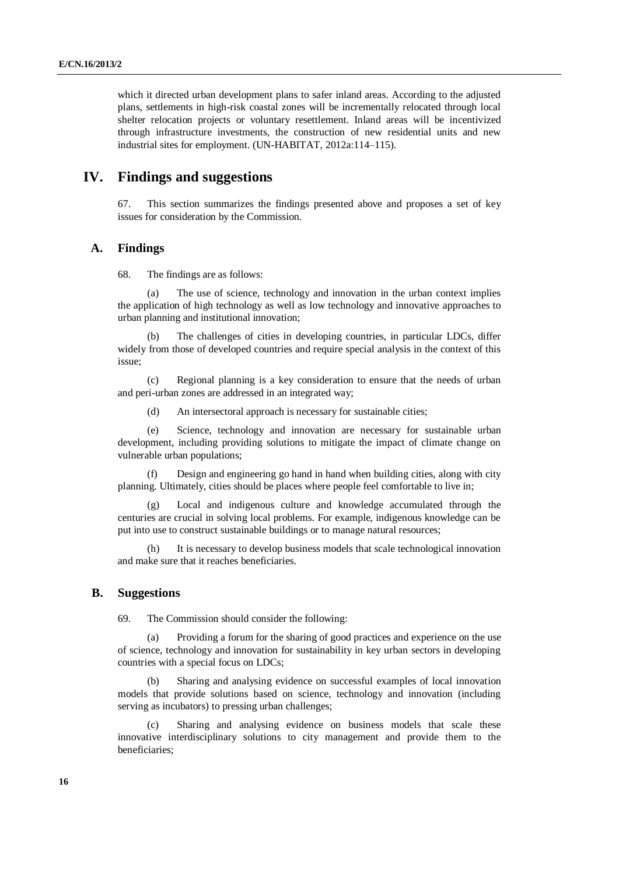which it directed urban development plans to safer inland areas. According to the adjusted plans, settlements in high-risk coastal zones will be incrementally relocated through local shelter relocation projects or voluntary resettlement. Inland areas will be incentivized through infrastructure investments, the construction of new residential units and new industrial sites for employment. (UN-HABITAT, 2012a:114–115).

# **IV. Findings and suggestions**

67. This section summarizes the findings presented above and proposes a set of key issues for consideration by the Commission.

## **A. Findings**

68. The findings are as follows:

(a) The use of science, technology and innovation in the urban context implies the application of high technology as well as low technology and innovative approaches to urban planning and institutional innovation;

(b) The challenges of cities in developing countries, in particular LDCs, differ widely from those of developed countries and require special analysis in the context of this issue;

(c) Regional planning is a key consideration to ensure that the needs of urban and peri-urban zones are addressed in an integrated way;

(d) An intersectoral approach is necessary for sustainable cities;

(e) Science, technology and innovation are necessary for sustainable urban development, including providing solutions to mitigate the impact of climate change on vulnerable urban populations;

(f) Design and engineering go hand in hand when building cities, along with city planning. Ultimately, cities should be places where people feel comfortable to live in;

Local and indigenous culture and knowledge accumulated through the centuries are crucial in solving local problems. For example, indigenous knowledge can be put into use to construct sustainable buildings or to manage natural resources;

(h) It is necessary to develop business models that scale technological innovation and make sure that it reaches beneficiaries.

### **B. Suggestions**

69. The Commission should consider the following:

(a) Providing a forum for the sharing of good practices and experience on the use of science, technology and innovation for sustainability in key urban sectors in developing countries with a special focus on LDCs;

(b) Sharing and analysing evidence on successful examples of local innovation models that provide solutions based on science, technology and innovation (including serving as incubators) to pressing urban challenges;

(c) Sharing and analysing evidence on business models that scale these innovative interdisciplinary solutions to city management and provide them to the beneficiaries;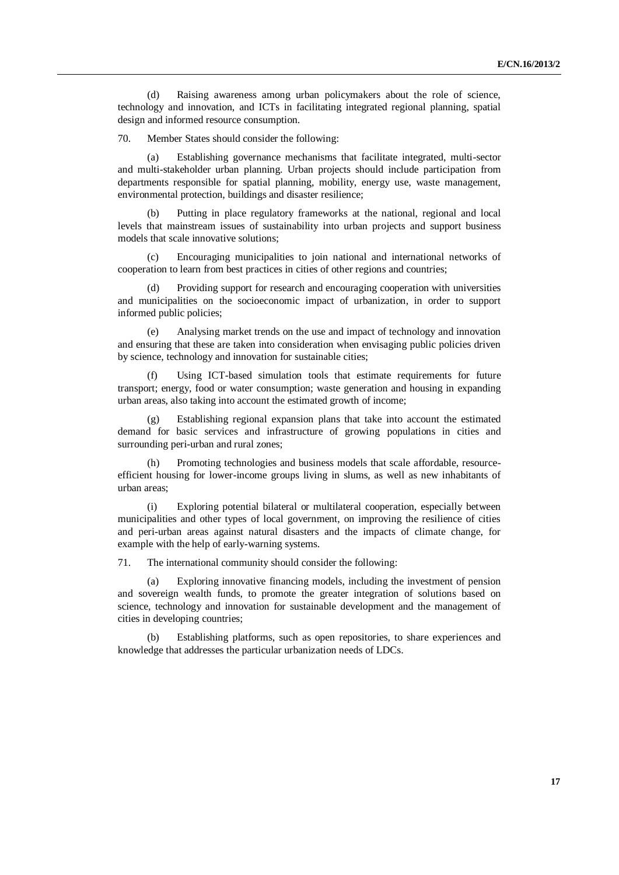(d) Raising awareness among urban policymakers about the role of science, technology and innovation, and ICTs in facilitating integrated regional planning, spatial design and informed resource consumption.

70. Member States should consider the following:

Establishing governance mechanisms that facilitate integrated, multi-sector and multi-stakeholder urban planning. Urban projects should include participation from departments responsible for spatial planning, mobility, energy use, waste management, environmental protection, buildings and disaster resilience;

(b) Putting in place regulatory frameworks at the national, regional and local levels that mainstream issues of sustainability into urban projects and support business models that scale innovative solutions;

(c) Encouraging municipalities to join national and international networks of cooperation to learn from best practices in cities of other regions and countries;

(d) Providing support for research and encouraging cooperation with universities and municipalities on the socioeconomic impact of urbanization, in order to support informed public policies;

(e) Analysing market trends on the use and impact of technology and innovation and ensuring that these are taken into consideration when envisaging public policies driven by science, technology and innovation for sustainable cities;

(f) Using ICT-based simulation tools that estimate requirements for future transport; energy, food or water consumption; waste generation and housing in expanding urban areas, also taking into account the estimated growth of income;

Establishing regional expansion plans that take into account the estimated demand for basic services and infrastructure of growing populations in cities and surrounding peri-urban and rural zones;

Promoting technologies and business models that scale affordable, resourceefficient housing for lower-income groups living in slums, as well as new inhabitants of urban areas;

(i) Exploring potential bilateral or multilateral cooperation, especially between municipalities and other types of local government, on improving the resilience of cities and peri-urban areas against natural disasters and the impacts of climate change, for example with the help of early-warning systems.

71. The international community should consider the following:

(a) Exploring innovative financing models, including the investment of pension and sovereign wealth funds, to promote the greater integration of solutions based on science, technology and innovation for sustainable development and the management of cities in developing countries;

(b) Establishing platforms, such as open repositories, to share experiences and knowledge that addresses the particular urbanization needs of LDCs.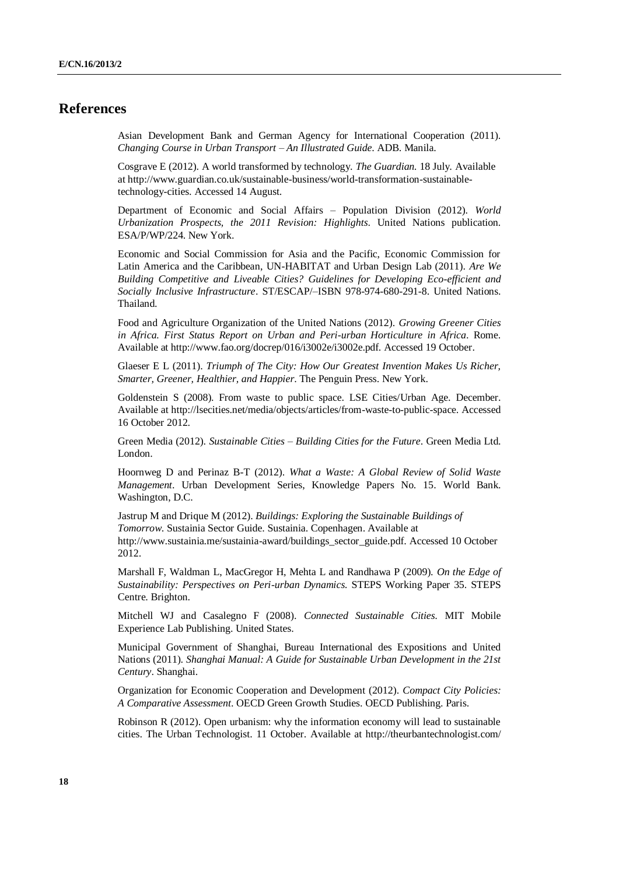# **References**

Asian Development Bank and German Agency for International Cooperation (2011). *Changing Course in Urban Transport – An Illustrated Guide*. ADB. Manila.

Cosgrave E (2012). A world transformed by technology. *The Guardian.* 18 July*.* Available at http://www.guardian.co.uk/sustainable-business/world-transformation-sustainabletechnology-cities. Accessed 14 August.

Department of Economic and Social Affairs – Population Division (2012). *World Urbanization Prospects, the 2011 Revision: Highlights*. United Nations publication. ESA/P/WP/224. New York.

Economic and Social Commission for Asia and the Pacific, Economic Commission for Latin America and the Caribbean, UN-HABITAT and Urban Design Lab (2011). *Are We Building Competitive and Liveable Cities? Guidelines for Developing Eco-efficient and Socially Inclusive Infrastructure*. ST/ESCAP/–ISBN 978-974-680-291-8. United Nations. Thailand.

Food and Agriculture Organization of the United Nations (2012). *Growing Greener Cities in Africa. First Status Report on Urban and Peri-urban Horticulture in Africa*. Rome. Available at http://www.fao.org/docrep/016/i3002e/i3002e.pdf. Accessed 19 October.

Glaeser E L (2011). *Triumph of The City: How Our Greatest Invention Makes Us Richer, Smarter, Greener, Healthier, and Happier*. The Penguin Press. New York.

Goldenstein S (2008). From waste to public space. LSE Cities/Urban Age. December. Available at http://lsecities.net/media/objects/articles/from-waste-to-public-space. Accessed 16 October 2012.

Green Media (2012). *Sustainable Cities – Building Cities for the Future*. Green Media Ltd. London.

Hoornweg D and Perinaz B-T (2012). *What a Waste: A Global Review of Solid Waste Management*. Urban Development Series, Knowledge Papers No. 15. World Bank. Washington, D.C.

Jastrup M and Drique M (2012). *Buildings: Exploring the Sustainable Buildings of Tomorrow*. Sustainia Sector Guide. Sustainia. Copenhagen. Available at http://www.sustainia.me/sustainia-award/buildings\_sector\_guide.pdf. Accessed 10 October 2012.

Marshall F, Waldman L, MacGregor H, Mehta L and Randhawa P (2009). *On the Edge of Sustainability: Perspectives on Peri-urban Dynamics.* STEPS Working Paper 35. STEPS Centre. Brighton.

Mitchell WJ and Casalegno F (2008). *Connected Sustainable Cities.* MIT Mobile Experience Lab Publishing. United States.

Municipal Government of Shanghai, Bureau International des Expositions and United Nations (2011). *Shanghai Manual: A Guide for Sustainable Urban Development in the 21st Century*. Shanghai.

Organization for Economic Cooperation and Development (2012). *Compact City Policies: A Comparative Assessment*. OECD Green Growth Studies. OECD Publishing. Paris.

Robinson R (2012). Open urbanism: why the information economy will lead to sustainable cities. The Urban Technologist. 11 October. Available at http://theurbantechnologist.com/